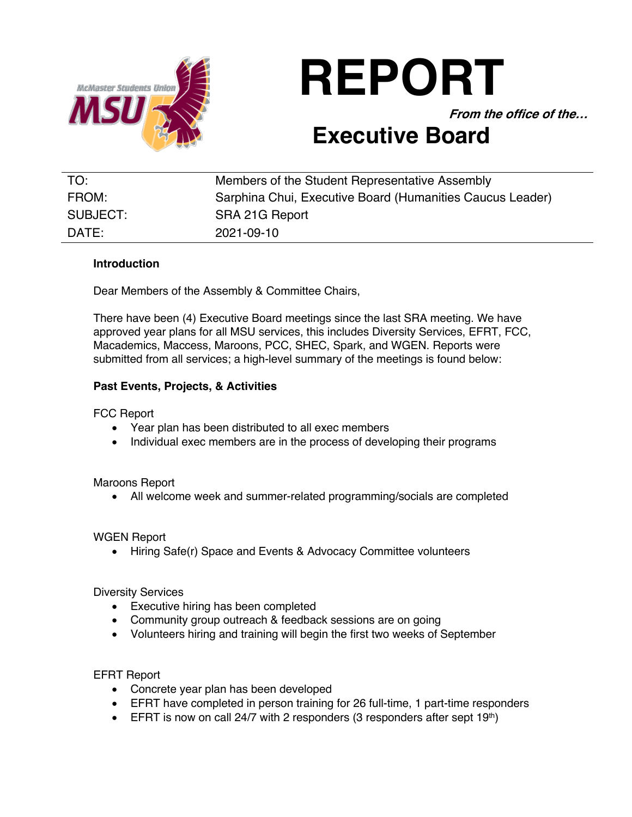

# **REPORT**

**From the office of the…**

# **Executive Board**

| TO:      | Members of the Student Representative Assembly            |
|----------|-----------------------------------------------------------|
| FROM:    | Sarphina Chui, Executive Board (Humanities Caucus Leader) |
| SUBJECT: | SRA 21G Report                                            |
| DATE:    | 2021-09-10                                                |

## **Introduction**

Dear Members of the Assembly & Committee Chairs,

There have been (4) Executive Board meetings since the last SRA meeting. We have approved year plans for all MSU services, this includes Diversity Services, EFRT, FCC, Macademics, Maccess, Maroons, PCC, SHEC, Spark, and WGEN. Reports were submitted from all services; a high-level summary of the meetings is found below:

## **Past Events, Projects, & Activities**

FCC Report

- Year plan has been distributed to all exec members
- Individual exec members are in the process of developing their programs

#### Maroons Report

• All welcome week and summer-related programming/socials are completed

#### WGEN Report

• Hiring Safe(r) Space and Events & Advocacy Committee volunteers

Diversity Services

- Executive hiring has been completed
- Community group outreach & feedback sessions are on going
- Volunteers hiring and training will begin the first two weeks of September

EFRT Report

- Concrete year plan has been developed
- EFRT have completed in person training for 26 full-time, 1 part-time responders
- EFRT is now on call 24/7 with 2 responders (3 responders after sept  $19<sup>th</sup>$ )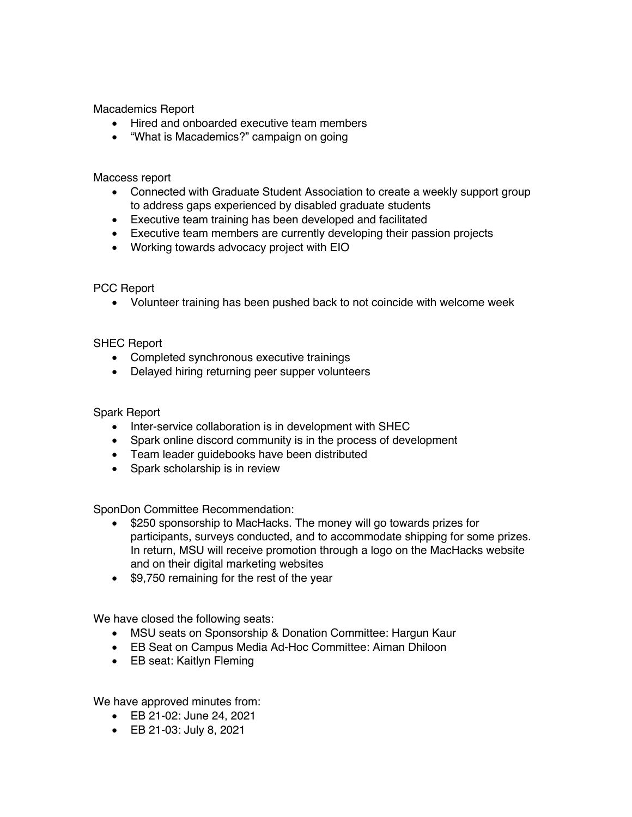Macademics Report

- Hired and onboarded executive team members
- "What is Macademics?" campaign on going

Maccess report

- Connected with Graduate Student Association to create a weekly support group to address gaps experienced by disabled graduate students
- Executive team training has been developed and facilitated
- Executive team members are currently developing their passion projects
- Working towards advocacy project with EIO

#### PCC Report

• Volunteer training has been pushed back to not coincide with welcome week

SHEC Report

- Completed synchronous executive trainings
- Delayed hiring returning peer supper volunteers

Spark Report

- Inter-service collaboration is in development with SHEC
- Spark online discord community is in the process of development
- Team leader guidebooks have been distributed
- Spark scholarship is in review

SponDon Committee Recommendation:

- \$250 sponsorship to MacHacks. The money will go towards prizes for participants, surveys conducted, and to accommodate shipping for some prizes. In return, MSU will receive promotion through a logo on the MacHacks website and on their digital marketing websites
- \$9,750 remaining for the rest of the year

We have closed the following seats:

- MSU seats on Sponsorship & Donation Committee: Hargun Kaur
- EB Seat on Campus Media Ad-Hoc Committee: Aiman Dhiloon
- EB seat: Kaitlyn Fleming

We have approved minutes from:

- EB 21-02: June 24, 2021
- EB 21-03: July 8, 2021